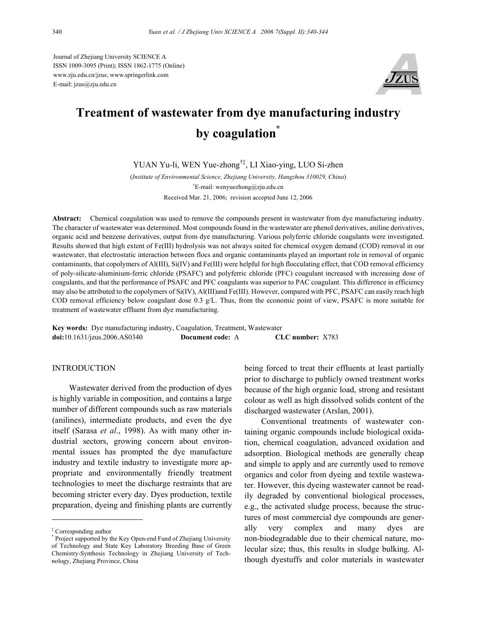Journal of Zhejiang University SCIENCE A ISSN 1009-3095 (Print); ISSN 1862-1775 (Online) www.zju.edu.cn/jzus; www.springerlink.com E-mail: jzus@zju.edu.cn



# **Treatment of wastewater from dye manufacturing industry by coagulation\***

YUAN Yu-li, WEN Yue-zhong†‡, LI Xiao-ying, LUO Si-zhen

(*Institute of Environmental Science, Zhejiang University, Hangzhou 310029, China*) <sup>†</sup>E-mail: wenyuezhong@zju.edu.cn Received Mar. 21, 2006; revision accepted June 12, 2006

**Abstract:** Chemical coagulation was used to remove the compounds present in wastewater from dye manufacturing industry. The character of wastewater was determined. Most compounds found in the wastewater are phenol derivatives, aniline derivatives, organic acid and benzene derivatives, output from dye manufacturing. Various polyferric chloride coagulants were investigated. Results showed that high extent of Fe(III) hydrolysis was not always suited for chemical oxygen demand (COD) removal in our wastewater, that electrostatic interaction between flocs and organic contaminants played an important role in removal of organic contaminants, that copolymers of Al(III), Si(IV) and Fe(III) were helpful for high flocculating effect, that COD removal efficiency of poly-silicate-aluminium-ferric chloride (PSAFC) and polyferric chloride (PFC) coagulant increased with increasing dose of coagulants, and that the performance of PSAFC and PFC coagulants was superior to PAC coagulant. This difference in efficiency may also be attributed to the copolymers of Si(IV), Al(III)and Fe(III). However, compared with PFC, PSAFC can easily reach high COD removal efficiency below coagulant dose 0.3 g/L. Thus, from the economic point of view, PSAFC is more suitable for treatment of wastewater effluent from dye manufacturing.

**Key words:** Dye manufacturing industry, Coagulation, Treatment, Wastewater **doi:**10.1631/jzus.2006.AS0340 **Document code:** A **CLC number:** X783

# **INTRODUCTION**

Wastewater derived from the production of dyes is highly variable in composition, and contains a large number of different compounds such as raw materials (anilines), intermediate products, and even the dye itself (Sarasa *et al*., 1998). As with many other industrial sectors, growing concern about environmental issues has prompted the dye manufacture industry and textile industry to investigate more appropriate and environmentally friendly treatment technologies to meet the discharge restraints that are becoming stricter every day. Dyes production, textile preparation, dyeing and finishing plants are currently

being forced to treat their effluents at least partially prior to discharge to publicly owned treatment works because of the high organic load, strong and resistant colour as well as high dissolved solids content of the discharged wastewater (Arslan, 2001).

Conventional treatments of wastewater containing organic compounds include biological oxidation, chemical coagulation, advanced oxidation and adsorption. Biological methods are generally cheap and simple to apply and are currently used to remove organics and color from dyeing and textile wastewater. However, this dyeing wastewater cannot be readily degraded by conventional biological processes, e.g., the activated sludge process, because the structures of most commercial dye compounds are generally very complex and many dyes are non-biodegradable due to their chemical nature, molecular size; thus, this results in sludge bulking. Although dyestuffs and color materials in wastewater

<sup>‡</sup> Corresponding author

<sup>\*</sup> Project supported by the Key Open-end Fund of Zhejiang University of Technology and State Key Laboratory Breeding Base of Green Chemistry-Synthesis Technology in Zhejiang University of Technology, Zhejiang Province, China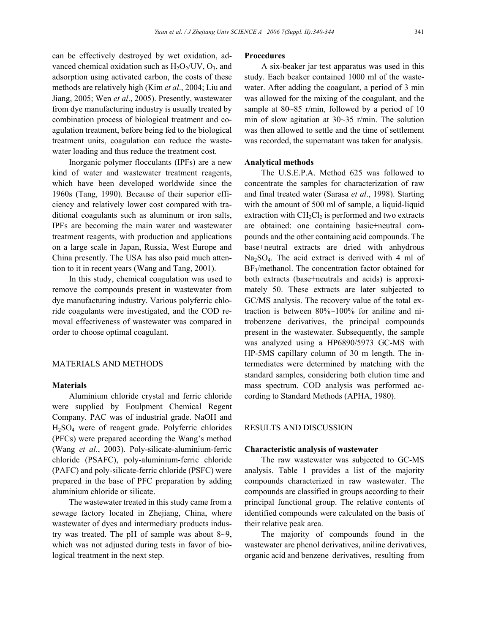can be effectively destroyed by wet oxidation, advanced chemical oxidation such as  $H_2O_2$ /UV,  $O_3$ , and adsorption using activated carbon, the costs of these methods are relatively high (Kim *et al*., 2004; Liu and Jiang, 2005; Wen *et al*., 2005). Presently, wastewater from dye manufacturing industry is usually treated by combination process of biological treatment and coagulation treatment, before being fed to the biological treatment units, coagulation can reduce the wastewater loading and thus reduce the treatment cost.

Inorganic polymer flocculants (IPFs) are a new kind of water and wastewater treatment reagents, which have been developed worldwide since the 1960s (Tang, 1990). Because of their superior efficiency and relatively lower cost compared with traditional coagulants such as aluminum or iron salts, IPFs are becoming the main water and wastewater treatment reagents, with production and applications on a large scale in Japan, Russia, West Europe and China presently. The USA has also paid much attention to it in recent years (Wang and Tang, 2001).

In this study, chemical coagulation was used to remove the compounds present in wastewater from dye manufacturing industry. Various polyferric chloride coagulants were investigated, and the COD removal effectiveness of wastewater was compared in order to choose optimal coagulant.

# MATERIALS AND METHODS

#### **Materials**

Aluminium chloride crystal and ferric chloride were supplied by Eoulpment Chemical Regent Company. PAC was of industrial grade. NaOH and H2SO4 were of reagent grade. Polyferric chlorides (PFCs) were prepared according the Wang's method (Wang *et al*., 2003). Poly-silicate-aluminium-ferric chloride (PSAFC), poly-aluminium-ferric chloride (PAFC) and poly-silicate-ferric chloride (PSFC) were prepared in the base of PFC preparation by adding aluminium chloride or silicate.

The wastewater treated in this study came from a sewage factory located in Zhejiang, China, where wastewater of dyes and intermediary products industry was treated. The pH of sample was about 8~9, which was not adjusted during tests in favor of biological treatment in the next step.

#### **Procedures**

A six-beaker jar test apparatus was used in this study. Each beaker contained 1000 ml of the wastewater. After adding the coagulant, a period of 3 min was allowed for the mixing of the coagulant, and the sample at 80~85 r/min, followed by a period of 10 min of slow agitation at 30~35 r/min. The solution was then allowed to settle and the time of settlement was recorded, the supernatant was taken for analysis.

### **Analytical methods**

The U.S.E.P.A. Method 625 was followed to concentrate the samples for characterization of raw and final treated water (Sarasa *et al*., 1998). Starting with the amount of 500 ml of sample, a liquid-liquid extraction with  $CH<sub>2</sub>Cl<sub>2</sub>$  is performed and two extracts are obtained: one containing basic+neutral compounds and the other containing acid compounds. The base+neutral extracts are dried with anhydrous  $Na<sub>2</sub>SO<sub>4</sub>$ . The acid extract is derived with 4 ml of  $BF<sub>3</sub>/methanol.$  The concentration factor obtained for both extracts (base+neutrals and acids) is approximately 50. These extracts are later subjected to GC/MS analysis. The recovery value of the total extraction is between 80%~100% for aniline and nitrobenzene derivatives, the principal compounds present in the wastewater. Subsequently, the sample was analyzed using a HP6890/5973 GC-MS with HP-5MS capillary column of 30 m length. The intermediates were determined by matching with the standard samples, considering both elution time and mass spectrum. COD analysis was performed according to Standard Methods (APHA, 1980).

# RESULTS AND DISCUSSION

#### **Characteristic analysis of wastewater**

The raw wastewater was subjected to GC-MS analysis. Table 1 provides a list of the majority compounds characterized in raw wastewater. The compounds are classified in groups according to their principal functional group. The relative contents of identified compounds were calculated on the basis of their relative peak area.

The majority of compounds found in the wastewater are phenol derivatives, aniline derivatives, organic acid and benzene derivatives, resulting from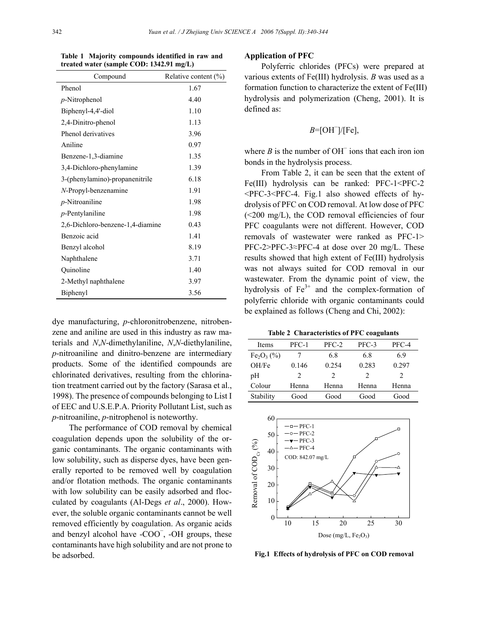| Compound                         | Relative content $(\%)$ |  |
|----------------------------------|-------------------------|--|
| Phenol                           | 1.67                    |  |
| $p$ -Nitrophenol                 | 4.40                    |  |
| Biphenyl-4,4'-diol               | 1.10                    |  |
| 2,4-Dinitro-phenol               | 1.13                    |  |
| Phenol derivatives               | 3.96                    |  |
| Aniline                          | 0.97                    |  |
| Benzene-1,3-diamine              | 1.35                    |  |
| 3,4-Dichloro-phenylamine         | 1.39                    |  |
| 3-(phenylamino)-propanenitrile   | 6.18                    |  |
| N-Propyl-benzenamine             | 1.91                    |  |
| $p$ -Nitroaniline                | 1.98                    |  |
| $p$ -Pentylaniline               | 1.98                    |  |
| 2,6-Dichloro-benzene-1,4-diamine | 0.43                    |  |
| Benzoic acid                     | 1.41                    |  |
| Benzyl alcohol                   | 8.19                    |  |
| Naphthalene                      | 3.71                    |  |
| Quinoline                        | 1.40                    |  |
| 2-Methyl naphthalene             | 3.97                    |  |
| Biphenyl                         | 3.56                    |  |

**Table 1 Majority compounds identified in raw and treated water (sample COD: 1342.91 mg/L)** 

dye manufacturing, *p*-chloronitrobenzene, nitrobenzene and aniline are used in this industry as raw materials and *N*,*N*-dimethylaniline, *N*,*N*-diethylaniline, *p*-nitroaniline and dinitro-benzene are intermediary products. Some of the identified compounds are chlorinated derivatives, resulting from the chlorination treatment carried out by the factory (Sarasa et al., 1998). The presence of compounds belonging to List I of EEC and U.S.E.P.A. Priority Pollutant List, such as *p*-nitroaniline, *p*-nitrophenol is noteworthy.

The performance of COD removal by chemical coagulation depends upon the solubility of the organic contaminants. The organic contaminants with low solubility, such as disperse dyes, have been generally reported to be removed well by coagulation and/or flotation methods. The organic contaminants with low solubility can be easily adsorbed and flocculated by coagulants (Al-Degs *et al*., 2000). However, the soluble organic contaminants cannot be well removed efficiently by coagulation. As organic acids and benzyl alcohol have -COO<sup>−</sup> , -OH groups, these contaminants have high solubility and are not prone to be adsorbed.

#### **Application of PFC**

Polyferric chlorides (PFCs) were prepared at various extents of Fe(III) hydrolysis. *B* was used as a formation function to characterize the extent of Fe(III) hydrolysis and polymerization (Cheng, 2001). It is defined as:

# *B*=[OH<sup>-</sup>]/[Fe],

where  $B$  is the number of OH $<sup>-</sup>$  ions that each iron ion</sup> bonds in the hydrolysis process.

From Table 2, it can be seen that the extent of Fe(III) hydrolysis can be ranked: PFC-1<PFC-2 <PFC-3<PFC-4. Fig.1 also showed effects of hydrolysis of PFC on COD removal. At low dose of PFC (<200 mg/L), the COD removal efficiencies of four PFC coagulants were not different. However, COD removals of wastewater were ranked as PFC-1> PFC-2>PFC-3≈PFC-4 at dose over 20 mg/L. These results showed that high extent of Fe(III) hydrolysis was not always suited for COD removal in our wastewater. From the dynamic point of view, the hydrolysis of  $Fe<sup>3+</sup>$  and the complex-formation of polyferric chloride with organic contaminants could be explained as follows (Cheng and Chi, 2002):

**Table 2 Characteristics of PFC coagulants** 

| Items       | PFC-1 | $PFC-2$       | $PFC-3$                       | $PFC-4$       |
|-------------|-------|---------------|-------------------------------|---------------|
| $Fe2O3(\%)$ |       | 6.8           | 6.8                           | 6.9           |
| OH/Fe       | 0.146 | 0.254         | 0.283                         | 0.297         |
| pH          | 2     | $\mathcal{L}$ | $\mathfrak{D}_{\mathfrak{p}}$ | $\mathcal{L}$ |
| Colour      | Henna | Henna         | Henna                         | Henna         |
| Stability   | Good  | Good          | Good                          | Good          |



**Fig.1 Effects of hydrolysis of PFC on COD removal**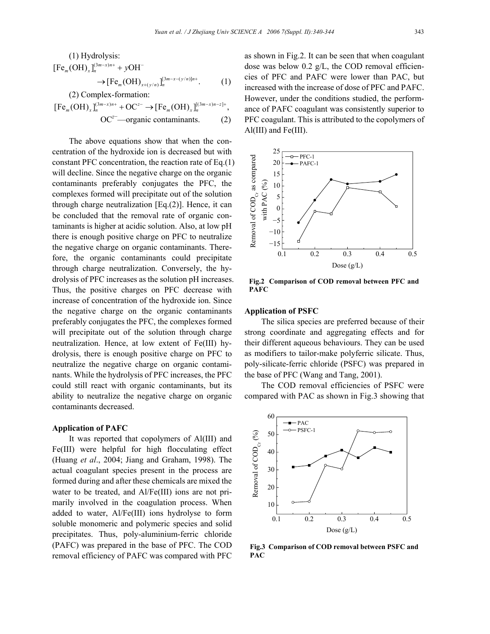(1) Hydrolysis:  
\n
$$
[Fe_m(OH)_x]_n^{(3m-x)n+} + yOH^-
$$
\n
$$
\rightarrow [Fe_m(OH)_{x+(y/n)}]_n^{(3m-x-(y/n))n+}.
$$
\n(1)  
\n(2) Complex-formation:

 $[Fe_{m}(\text{OH})_{x}]_{n}^{(3m-x)n+} + \text{OC}^{z-} \rightarrow [Fe_{m}(\text{OH})_{x}]_{n}^{[(3m-x)n-z]+},$ OC*<sup>z</sup>*<sup>−</sup> —organic contaminants. (2)

The above equations show that when the concentration of the hydroxide ion is decreased but with constant PFC concentration, the reaction rate of Eq.(1) will decline. Since the negative charge on the organic contaminants preferably conjugates the PFC, the complexes formed will precipitate out of the solution through charge neutralization [Eq.(2)]. Hence, it can be concluded that the removal rate of organic contaminants is higher at acidic solution. Also, at low pH there is enough positive charge on PFC to neutralize the negative charge on organic contaminants. Therefore, the organic contaminants could precipitate through charge neutralization. Conversely, the hydrolysis of PFC increases as the solution pH increases. Thus, the positive charges on PFC decrease with increase of concentration of the hydroxide ion. Since the negative charge on the organic contaminants preferably conjugates the PFC, the complexes formed will precipitate out of the solution through charge neutralization. Hence, at low extent of Fe(III) hydrolysis, there is enough positive charge on PFC to neutralize the negative charge on organic contaminants. While the hydrolysis of PFC increases, the PFC could still react with organic contaminants, but its ability to neutralize the negative charge on organic contaminants decreased.

#### **Application of PAFC**

It was reported that copolymers of Al(III) and Fe(III) were helpful for high flocculating effect (Huang *et al*., 2004; Jiang and Graham, 1998). The actual coagulant species present in the process are formed during and after these chemicals are mixed the water to be treated, and Al/Fe(III) ions are not primarily involved in the coagulation process. When added to water, Al/Fe(III) ions hydrolyse to form soluble monomeric and polymeric species and solid precipitates. Thus, poly-aluminium-ferric chloride (PAFC) was prepared in the base of PFC. The COD removal efficiency of PAFC was compared with PFC as shown in Fig.2. It can be seen that when coagulant dose was below 0.2 g/L, the COD removal efficiencies of PFC and PAFC were lower than PAC, but increased with the increase of dose of PFC and PAFC. However, under the conditions studied, the performance of PAFC coagulant was consistently superior to PFC coagulant. This is attributed to the copolymers of Al(III) and Fe(III).



**Fig.2 Comparison of COD removal between PFC and PAFC**

#### **Application of PSFC**

The silica species are preferred because of their strong coordinate and aggregating effects and for their different aqueous behaviours. They can be used as modifiers to tailor-make polyferric silicate. Thus, poly-silicate-ferric chloride (PSFC) was prepared in the base of PFC (Wang and Tang, 2001).

The COD removal efficiencies of PSFC were compared with PAC as shown in Fig.3 showing that



**Fig.3 Comparison of COD removal between PSFC and PAC**